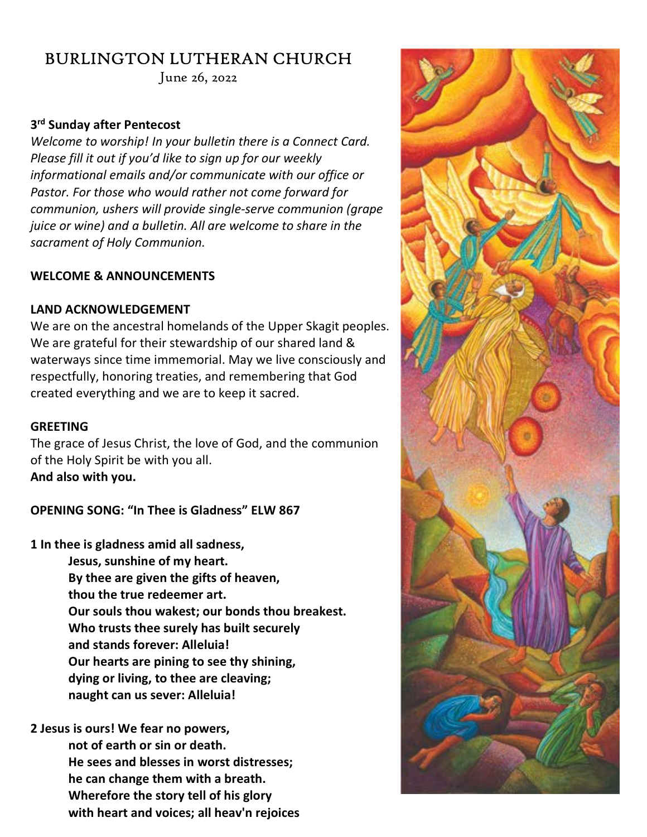# BURLINGTON LUTHERAN CHURCH

June 26, 2022

## 3<sup>rd</sup> Sunday after Pentecost

Welcome to worship! In your bulletin there is a Connect Card. Please fill it out if you'd like to sign up for our weekly informational emails and/or communicate with our office or Pastor. For those who would rather not come forward for communion, ushers will provide single-serve communion (grape juice or wine) and a bulletin. All are welcome to share in the sacrament of Holy Communion.

## WELCOME & ANNOUNCEMENTS

#### LAND ACKNOWLEDGEMENT

We are on the ancestral homelands of the Upper Skagit peoples. We are grateful for their stewardship of our shared land & waterways since time immemorial. May we live consciously and respectfully, honoring treaties, and remembering that God created everything and we are to keep it sacred.

#### GREETING

The grace of Jesus Christ, the love of God, and the communion of the Holy Spirit be with you all.

And also with you.

## OPENING SONG: "In Thee is Gladness" ELW 867

- 1 In thee is gladness amid all sadness,
	- Jesus, sunshine of my heart. By thee are given the gifts of heaven, thou the true redeemer art. Our souls thou wakest; our bonds thou breakest. Who trusts thee surely has built securely and stands forever: Alleluia! Our hearts are pining to see thy shining, dying or living, to thee are cleaving; naught can us sever: Alleluia!

2 Jesus is ours! We fear no powers, not of earth or sin or death. He sees and blesses in worst distresses; he can change them with a breath. Wherefore the story tell of his glory with heart and voices; all heav'n rejoices

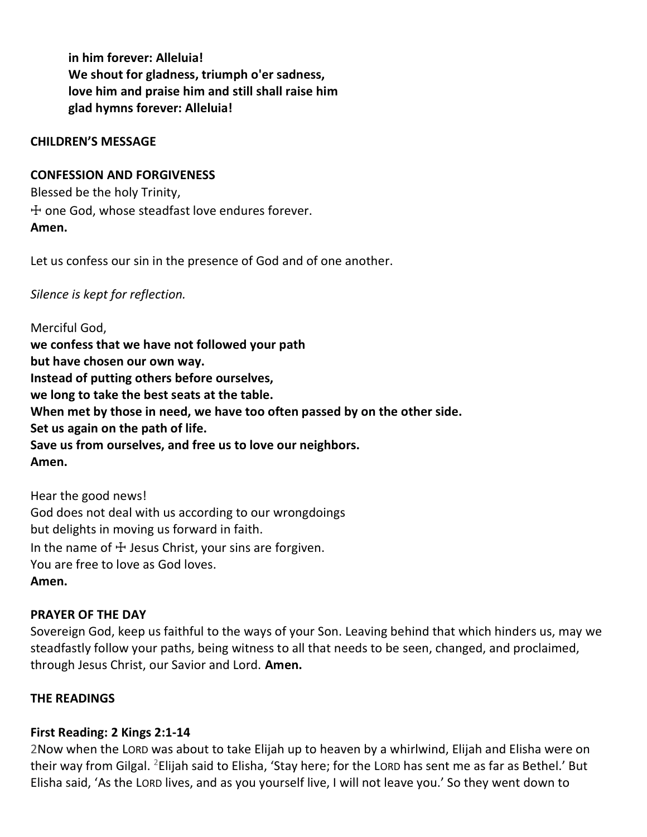in him forever: Alleluia! We shout for gladness, triumph o'er sadness, love him and praise him and still shall raise him glad hymns forever: Alleluia!

#### CHILDREN'S MESSAGE

## CONFESSION AND FORGIVENESS

Blessed be the holy Trinity, ☩ one God, whose steadfast love endures forever. Amen.

Let us confess our sin in the presence of God and of one another.

Silence is kept for reflection.

Merciful God, we confess that we have not followed your path but have chosen our own way. Instead of putting others before ourselves, we long to take the best seats at the table. When met by those in need, we have too often passed by on the other side. Set us again on the path of life. Save us from ourselves, and free us to love our neighbors. Amen.

Hear the good news! God does not deal with us according to our wrongdoings but delights in moving us forward in faith. In the name of  $\pm$  Jesus Christ, your sins are forgiven. You are free to love as God loves. Amen.

## PRAYER OF THE DAY

Sovereign God, keep us faithful to the ways of your Son. Leaving behind that which hinders us, may we steadfastly follow your paths, being witness to all that needs to be seen, changed, and proclaimed, through Jesus Christ, our Savior and Lord. Amen.

## THE READINGS

## First Reading: 2 Kings 2:1-14

2Now when the LORD was about to take Elijah up to heaven by a whirlwind, Elijah and Elisha were on their way from Gilgal. <sup>2</sup>Elijah said to Elisha, 'Stay here; for the LORD has sent me as far as Bethel.' But Elisha said, 'As the LORD lives, and as you yourself live, I will not leave you.' So they went down to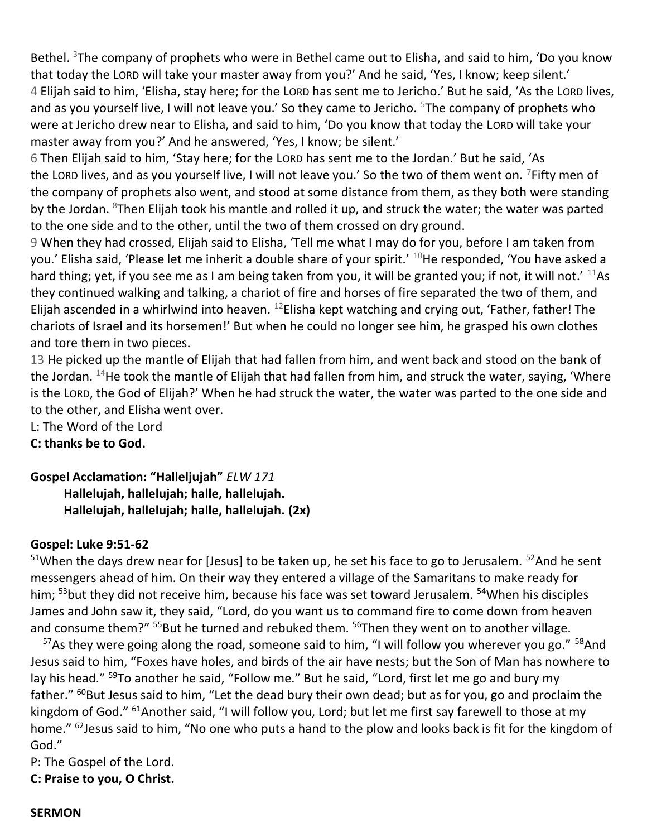Bethel.  $3$ The company of prophets who were in Bethel came out to Elisha, and said to him, 'Do you know that today the LORD will take your master away from you?' And he said, 'Yes, I know; keep silent.' 4 Elijah said to him, 'Elisha, stay here; for the LORD has sent me to Jericho.' But he said, 'As the LORD lives, and as you yourself live, I will not leave you.' So they came to Jericho. <sup>5</sup>The company of prophets who were at Jericho drew near to Elisha, and said to him, 'Do you know that today the LORD will take your master away from you?' And he answered, 'Yes, I know; be silent.'

6 Then Elijah said to him, 'Stay here; for the LORD has sent me to the Jordan.' But he said, 'As the LORD lives, and as you yourself live, I will not leave you.' So the two of them went on. <sup>7</sup>Fifty men of the company of prophets also went, and stood at some distance from them, as they both were standing by the Jordan. <sup>8</sup>Then Elijah took his mantle and rolled it up, and struck the water; the water was parted to the one side and to the other, until the two of them crossed on dry ground.

9 When they had crossed, Elijah said to Elisha, 'Tell me what I may do for you, before I am taken from you.' Elisha said, 'Please let me inherit a double share of your spirit.' <sup>10</sup>He responded, 'You have asked a hard thing; yet, if you see me as I am being taken from you, it will be granted you; if not, it will not.' <sup>11</sup>As they continued walking and talking, a chariot of fire and horses of fire separated the two of them, and Elijah ascended in a whirlwind into heaven.  $^{12}$ Elisha kept watching and crying out, 'Father, father! The chariots of Israel and its horsemen!' But when he could no longer see him, he grasped his own clothes and tore them in two pieces.

13 He picked up the mantle of Elijah that had fallen from him, and went back and stood on the bank of the Jordan.  $14$ He took the mantle of Elijah that had fallen from him, and struck the water, saying, 'Where is the LORD, the God of Elijah?' When he had struck the water, the water was parted to the one side and to the other, and Elisha went over.

L: The Word of the Lord

C: thanks be to God.

Gospel Acclamation: "Halleljujah" ELW 171 Hallelujah, hallelujah; halle, hallelujah. Hallelujah, hallelujah; halle, hallelujah. (2x)

# Gospel: Luke 9:51-62

 $51$ When the days drew near for [Jesus] to be taken up, he set his face to go to Jerusalem.  $52$ And he sent messengers ahead of him. On their way they entered a village of the Samaritans to make ready for him; <sup>53</sup>but they did not receive him, because his face was set toward Jerusalem. <sup>54</sup>When his disciples James and John saw it, they said, "Lord, do you want us to command fire to come down from heaven and consume them?"  $55$ But he turned and rebuked them.  $56$ Then they went on to another village.

<sup>57</sup>As they were going along the road, someone said to him, "I will follow you wherever you go." <sup>58</sup>And Jesus said to him, "Foxes have holes, and birds of the air have nests; but the Son of Man has nowhere to lay his head." <sup>59</sup>To another he said, "Follow me." But he said, "Lord, first let me go and bury my father." <sup>60</sup>But Jesus said to him, "Let the dead bury their own dead; but as for you, go and proclaim the kingdom of God." <sup>61</sup>Another said, "I will follow you, Lord; but let me first say farewell to those at my home." <sup>62</sup> Jesus said to him, "No one who puts a hand to the plow and looks back is fit for the kingdom of God."

P: The Gospel of the Lord. C: Praise to you, O Christ.

#### SERMON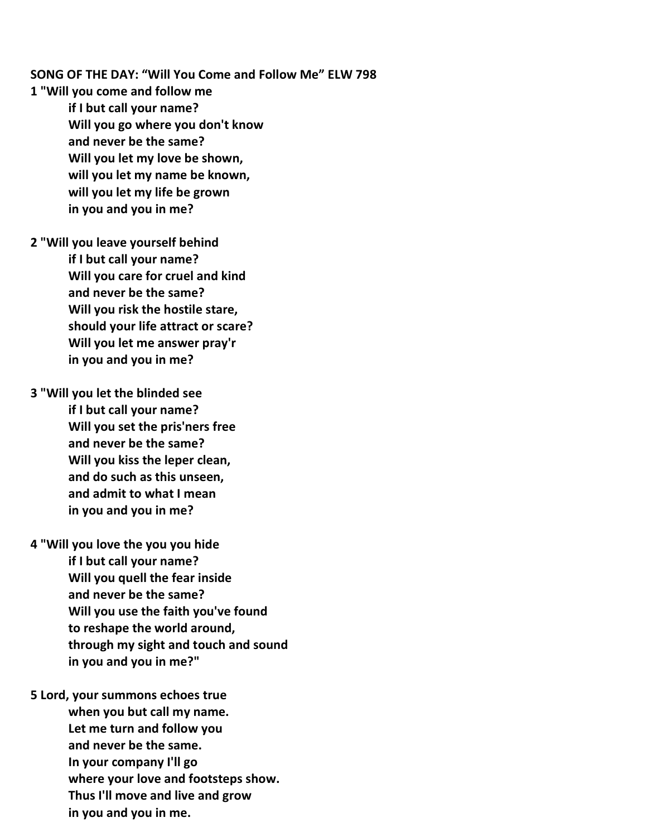SONG OF THE DAY: "Will You Come and Follow Me" ELW 798

- 1 "Will you come and follow me if I but call your name? Will you go where you don't know and never be the same? Will you let my love be shown, will you let my name be known, will you let my life be grown in you and you in me?
- 2 "Will you leave yourself behind if I but call your name? Will you care for cruel and kind and never be the same? Will you risk the hostile stare, should your life attract or scare? Will you let me answer pray'r in you and you in me?
- 3 "Will you let the blinded see if I but call your name? Will you set the pris'ners free and never be the same? Will you kiss the leper clean, and do such as this unseen, and admit to what I mean in you and you in me?
- 4 "Will you love the you you hide if I but call your name? Will you quell the fear inside and never be the same? Will you use the faith you've found to reshape the world around, through my sight and touch and sound in you and you in me?"
- 5 Lord, your summons echoes true when you but call my name. Let me turn and follow you and never be the same. In your company I'll go where your love and footsteps show. Thus I'll move and live and grow in you and you in me.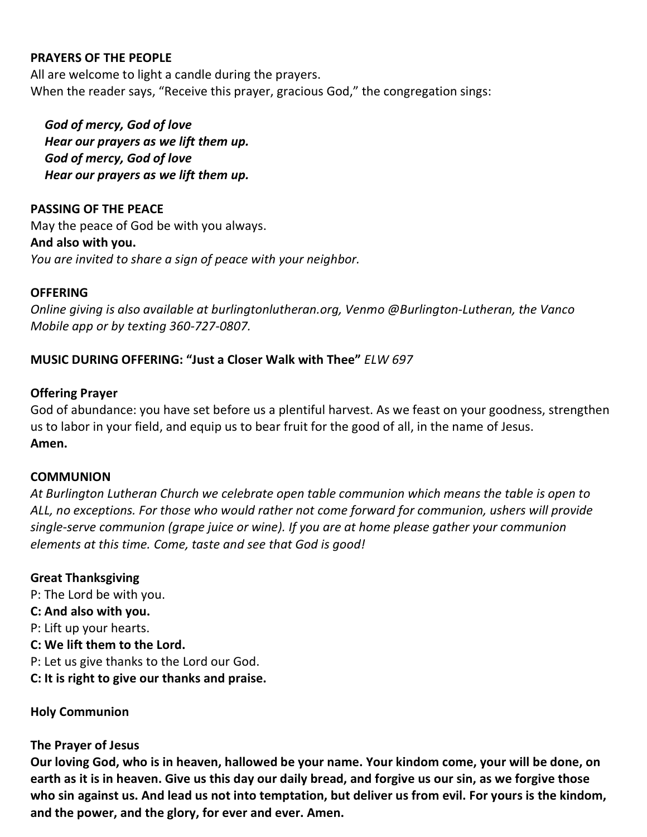## PRAYERS OF THE PEOPLE

All are welcome to light a candle during the prayers. When the reader says, "Receive this prayer, gracious God," the congregation sings:

God of mercy, God of love Hear our prayers as we lift them up. God of mercy, God of love Hear our prayers as we lift them up.

PASSING OF THE PEACE May the peace of God be with you always. And also with you. You are invited to share a sign of peace with your neighbor.

#### **OFFERING**

Online giving is also available at burlingtonlutheran.org, Venmo @Burlington-Lutheran, the Vanco Mobile app or by texting 360-727-0807.

#### MUSIC DURING OFFERING: "Just a Closer Walk with Thee" ELW 697

#### Offering Prayer

God of abundance: you have set before us a plentiful harvest. As we feast on your goodness, strengthen us to labor in your field, and equip us to bear fruit for the good of all, in the name of Jesus. Amen.

#### **COMMUNION**

At Burlington Lutheran Church we celebrate open table communion which means the table is open to ALL, no exceptions. For those who would rather not come forward for communion, ushers will provide single-serve communion (grape juice or wine). If you are at home please gather your communion elements at this time. Come, taste and see that God is good!

## Great Thanksgiving

P: The Lord be with you. C: And also with you. P: Lift up your hearts. C: We lift them to the Lord. P: Let us give thanks to the Lord our God. C: It is right to give our thanks and praise.

## Holy Communion

## The Prayer of Jesus

Our loving God, who is in heaven, hallowed be your name. Your kindom come, your will be done, on earth as it is in heaven. Give us this day our daily bread, and forgive us our sin, as we forgive those who sin against us. And lead us not into temptation, but deliver us from evil. For yours is the kindom, and the power, and the glory, for ever and ever. Amen.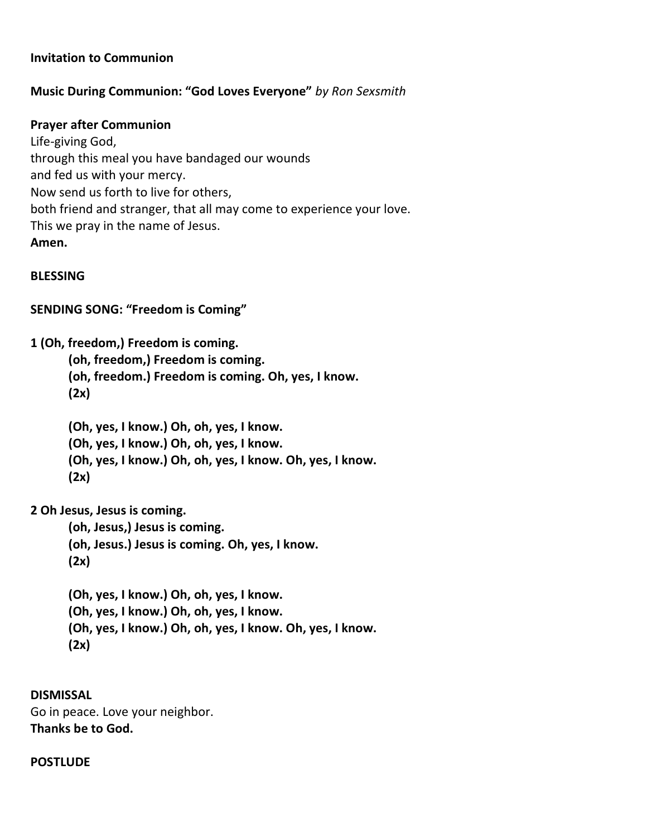#### Invitation to Communion

## Music During Communion: "God Loves Everyone" by Ron Sexsmith

#### Prayer after Communion

Life-giving God, through this meal you have bandaged our wounds and fed us with your mercy. Now send us forth to live for others, both friend and stranger, that all may come to experience your love. This we pray in the name of Jesus. Amen.

#### BLESSING

## SENDING SONG: "Freedom is Coming"

1 (Oh, freedom,) Freedom is coming. (oh, freedom,) Freedom is coming. (oh, freedom.) Freedom is coming. Oh, yes, I know. (2x)

> (Oh, yes, I know.) Oh, oh, yes, I know. (Oh, yes, I know.) Oh, oh, yes, I know. (Oh, yes, I know.) Oh, oh, yes, I know. Oh, yes, I know. (2x)

2 Oh Jesus, Jesus is coming.

(oh, Jesus,) Jesus is coming. (oh, Jesus.) Jesus is coming. Oh, yes, I know. (2x)

(Oh, yes, I know.) Oh, oh, yes, I know. (Oh, yes, I know.) Oh, oh, yes, I know. (Oh, yes, I know.) Oh, oh, yes, I know. Oh, yes, I know. (2x)

DISMISSAL Go in peace. Love your neighbor. Thanks be to God.

#### **POSTLUDE**